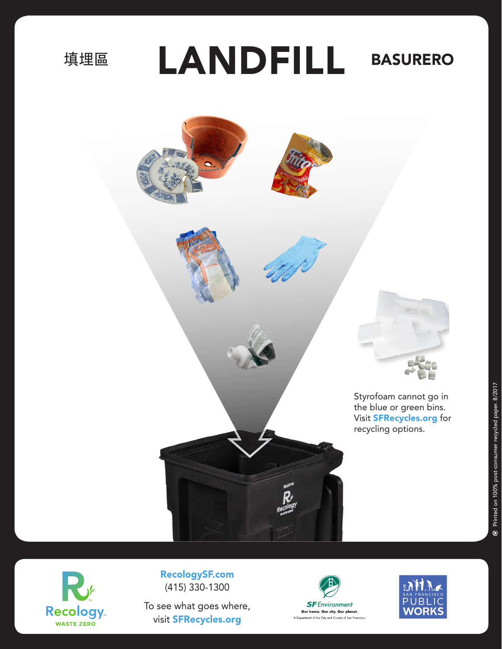填埋區

LANDFILL BASURERO





RecologySF.com (415) 330-1300

To see what goes where, visit SFRecycles.org